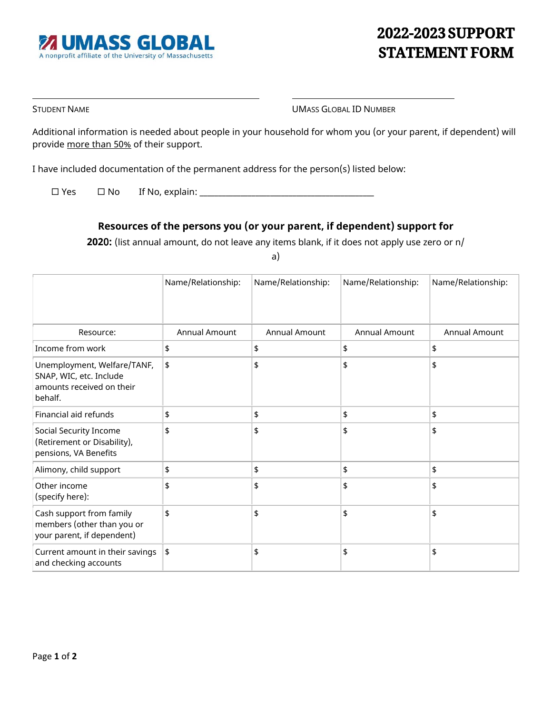## **2022-2023 SUPPORT STATEMENT FORM**

STUDENT NAME **UMASS GLOBAL ID NUMBER** 

Additional information is needed about people in your household for whom you (or your parent, if dependent) will provide more than 50% of their support.

I have included documentation of the permanent address for the person(s) listed below:

 $\square$  Yes  $\square$  No If No, explain:  $\square$ 

### **Resources of the persons you (or your parent, if dependent) support for**

**202**0**:** (list annual amount, do not leave any items blank, if it does not apply use zero or n/

a)

|                                                                                                | Name/Relationship:   | Name/Relationship:   | Name/Relationship: | Name/Relationship:   |
|------------------------------------------------------------------------------------------------|----------------------|----------------------|--------------------|----------------------|
| Resource:                                                                                      | <b>Annual Amount</b> | <b>Annual Amount</b> | Annual Amount      | <b>Annual Amount</b> |
| Income from work                                                                               | \$                   | \$                   | \$                 | \$                   |
| Unemployment, Welfare/TANF,<br>SNAP, WIC, etc. Include<br>amounts received on their<br>behalf. | \$                   | \$                   | \$                 | \$                   |
| Financial aid refunds                                                                          | \$                   | \$                   | \$                 | \$                   |
| Social Security Income<br>(Retirement or Disability),<br>pensions, VA Benefits                 | \$                   | \$                   | \$                 | \$                   |
| Alimony, child support                                                                         | \$                   | \$                   | \$                 | \$                   |
| Other income<br>(specify here):                                                                | \$                   | \$                   | \$                 | \$                   |
| Cash support from family<br>members (other than you or<br>your parent, if dependent)           | \$                   | \$                   | \$                 | \$                   |
| Current amount in their savings<br>and checking accounts                                       | \$                   | \$                   | \$                 | \$                   |